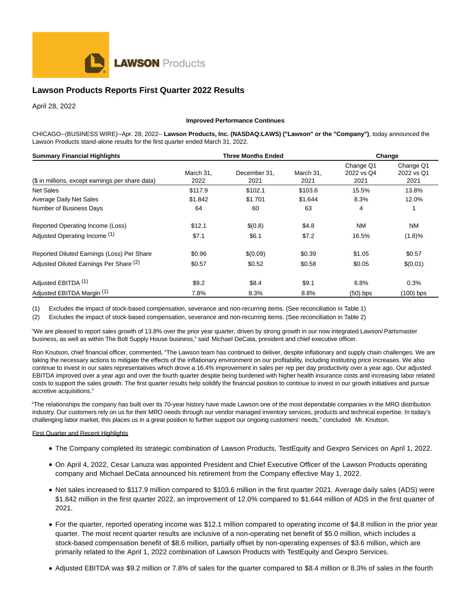

# **Lawson Products Reports First Quarter 2022 Results**

April 28, 2022

#### **Improved Performance Continues**

CHICAGO--(BUSINESS WIRE)--Apr. 28, 2022-- **Lawson Products, Inc. (NASDAQ:LAWS) ("Lawson" or the "Company")**, today announced the Lawson Products stand-alone results for the first quarter ended March 31, 2022.

| <b>Summary Financial Highlights</b><br>(\$ in millions, except earnings per share data) |                   | <b>Three Months Ended</b> | Change            |                                 |                                 |
|-----------------------------------------------------------------------------------------|-------------------|---------------------------|-------------------|---------------------------------|---------------------------------|
|                                                                                         | March 31,<br>2022 | December 31.<br>2021      | March 31,<br>2021 | Change Q1<br>2022 vs Q4<br>2021 | Change Q1<br>2022 vs Q1<br>2021 |
| <b>Net Sales</b>                                                                        | \$117.9           | \$102.1                   | \$103.6           | 15.5%                           | 13.8%                           |
| Average Daily Net Sales                                                                 | \$1.842           | \$1.701                   | \$1.644           | 8.3%                            | 12.0%                           |
| Number of Business Days                                                                 | 64                | 60                        | 63                | 4                               |                                 |
| Reported Operating Income (Loss)                                                        | \$12.1            | \$(0.8)                   | \$4.8             | <b>NM</b>                       | NM                              |
| Adjusted Operating Income (1)                                                           | \$7.1             | \$6.1                     | \$7.2             | 16.5%                           | (1.8)%                          |
| Reported Diluted Earnings (Loss) Per Share                                              | \$0.96            | \$(0.09)                  | \$0.39            | \$1.05                          | \$0.57                          |
| Adjusted Diluted Earnings Per Share (2)                                                 | \$0.57            | \$0.52                    | \$0.58            | \$0.05                          | \$(0.01)                        |
| Adjusted EBITDA <sup>(1)</sup>                                                          | \$9.2             | \$8.4                     | \$9.1             | 8.8%                            | 0.3%                            |
| Adjusted EBITDA Margin (1)                                                              | 7.8%              | 8.3%                      | 8.8%              | $(50)$ bps                      | (100) bps                       |

(1) Excludes the impact of stock-based compensation, severance and non-recurring items. (See reconciliation in Table 1)

(2) Excludes the impact of stock-based compensation, severance and non-recurring items. (See reconciliation in Table 2)

"We are pleased to report sales growth of 13.8% over the prior year quarter, driven by strong growth in our now integrated Lawson/ Partsmaster business, as well as within The Bolt Supply House business," said Michael DeCata, president and chief executive officer.

Ron Knutson, chief financial officer, commented, "The Lawson team has continued to deliver, despite inflationary and supply chain challenges. We are taking the necessary actions to mitigate the effects of the inflationary environment on our profitability, including instituting price increases. We also continue to invest in our sales representatives which drove a 16.4% improvement in sales per rep per day productivity over a year ago. Our adjusted EBITDA improved over a year ago and over the fourth quarter despite being burdened with higher health insurance costs and increasing labor related costs to support the sales growth. The first quarter results help solidify the financial position to continue to invest in our growth initiatives and pursue accretive acquisitions."

"The relationships the company has built over its 70-year history have made Lawson one of the most dependable companies in the MRO distribution industry. Our customers rely on us for their MRO needs through our vendor managed inventory services, products and technical expertise. In today's challenging labor market, this places us in a great position to further support our ongoing customers' needs," concluded Mr. Knutson.

## **First Quarter and Recent Highlights**

- The Company completed its strategic combination of Lawson Products, TestEquity and Gexpro Services on April 1, 2022.
- On April 4, 2022, Cesar Lanuza was appointed President and Chief Executive Officer of the Lawson Products operating company and Michael DeCata announced his retirement from the Company effective May 1, 2022.
- Net sales increased to \$117.9 million compared to \$103.6 million in the first quarter 2021. Average daily sales (ADS) were \$1.842 million in the first quarter 2022, an improvement of 12.0% compared to \$1.644 million of ADS in the first quarter of 2021.
- For the quarter, reported operating income was \$12.1 million compared to operating income of \$4.8 million in the prior year quarter. The most recent quarter results are inclusive of a non-operating net benefit of \$5.0 million, which includes a stock-based compensation benefit of \$8.6 million, partially offset by non-operating expenses of \$3.6 million, which are primarily related to the April 1, 2022 combination of Lawson Products with TestEquity and Gexpro Services.
- Adjusted EBITDA was \$9.2 million or 7.8% of sales for the quarter compared to \$8.4 million or 8.3% of sales in the fourth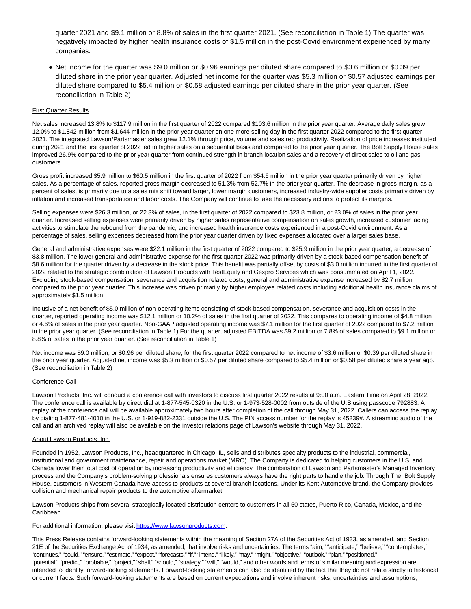quarter 2021 and \$9.1 million or 8.8% of sales in the first quarter 2021. (See reconciliation in Table 1) The quarter was negatively impacted by higher health insurance costs of \$1.5 million in the post-Covid environment experienced by many companies.

Net income for the quarter was \$9.0 million or \$0.96 earnings per diluted share compared to \$3.6 million or \$0.39 per diluted share in the prior year quarter. Adjusted net income for the quarter was \$5.3 million or \$0.57 adjusted earnings per diluted share compared to \$5.4 million or \$0.58 adjusted earnings per diluted share in the prior year quarter. (See reconciliation in Table 2)

### First Quarter Results

Net sales increased 13.8% to \$117.9 million in the first quarter of 2022 compared \$103.6 million in the prior year quarter. Average daily sales grew 12.0% to \$1.842 million from \$1.644 million in the prior year quarter on one more selling day in the first quarter 2022 compared to the first quarter 2021. The integrated Lawson/Partsmaster sales grew 12.1% through price, volume and sales rep productivity. Realization of price increases instituted during 2021 and the first quarter of 2022 led to higher sales on a sequential basis and compared to the prior year quarter. The Bolt Supply House sales improved 26.9% compared to the prior year quarter from continued strength in branch location sales and a recovery of direct sales to oil and gas customers.

Gross profit increased \$5.9 million to \$60.5 million in the first quarter of 2022 from \$54.6 million in the prior year quarter primarily driven by higher sales. As a percentage of sales, reported gross margin decreased to 51.3% from 52.7% in the prior year quarter. The decrease in gross margin, as a percent of sales, is primarily due to a sales mix shift toward larger, lower margin customers, increased industry-wide supplier costs primarily driven by inflation and increased transportation and labor costs. The Company will continue to take the necessary actions to protect its margins.

Selling expenses were \$26.3 million, or 22.3% of sales, in the first quarter of 2022 compared to \$23.8 million, or 23.0% of sales in the prior year quarter. Increased selling expenses were primarily driven by higher sales representative compensation on sales growth, increased customer facing activities to stimulate the rebound from the pandemic, and increased health insurance costs experienced in a post-Covid environment. As a percentage of sales, selling expenses decreased from the prior year quarter driven by fixed expenses allocated over a larger sales base.

General and administrative expenses were \$22.1 million in the first quarter of 2022 compared to \$25.9 million in the prior year quarter, a decrease of \$3.8 million. The lower general and administrative expense for the first quarter 2022 was primarily driven by a stock-based compensation benefit of \$8.6 million for the quarter driven by a decrease in the stock price. This benefit was partially offset by costs of \$3.0 million incurred in the first quarter of 2022 related to the strategic combination of Lawson Products with TestEquity and Gexpro Services which was consummated on April 1, 2022. Excluding stock-based compensation, severance and acquisition related costs, general and administrative expense increased by \$2.7 million compared to the prior year quarter. This increase was driven primarily by higher employee related costs including additional health insurance claims of approximately \$1.5 million.

Inclusive of a net benefit of \$5.0 million of non-operating items consisting of stock-based compensation, severance and acquisition costs in the quarter, reported operating income was \$12.1 million or 10.2% of sales in the first quarter of 2022. This compares to operating income of \$4.8 million or 4.6% of sales in the prior year quarter. Non-GAAP adjusted operating income was \$7.1 million for the first quarter of 2022 compared to \$7.2 million in the prior year quarter. (See reconciliation in Table 1) For the quarter, adjusted EBITDA was \$9.2 million or 7.8% of sales compared to \$9.1 million or 8.8% of sales in the prior year quarter. (See reconciliation in Table 1)

Net income was \$9.0 million, or \$0.96 per diluted share, for the first quarter 2022 compared to net income of \$3.6 million or \$0.39 per diluted share in the prior year quarter. Adjusted net income was \$5.3 million or \$0.57 per diluted share compared to \$5.4 million or \$0.58 per diluted share a year ago. (See reconciliation in Table 2)

#### Conference Call

Lawson Products, Inc. will conduct a conference call with investors to discuss first quarter 2022 results at 9:00 a.m. Eastern Time on April 28, 2022. The conference call is available by direct dial at 1-877-545-0320 in the U.S. or 1-973-528-0002 from outside of the U.S using passcode 792883. A replay of the conference call will be available approximately two hours after completion of the call through May 31, 2022. Callers can access the replay by dialing 1-877-481-4010 in the U.S. or 1-919-882-2331 outside the U.S. The PIN access number for the replay is 45239#. A streaming audio of the call and an archived replay will also be available on the investor relations page of Lawson's website through May 31, 2022.

#### About Lawson Products, Inc.

Founded in 1952, Lawson Products, Inc., headquartered in Chicago, IL, sells and distributes specialty products to the industrial, commercial, institutional and government maintenance, repair and operations market (MRO). The Company is dedicated to helping customers in the U.S. and Canada lower their total cost of operation by increasing productivity and efficiency. The combination of Lawson and Partsmaster's Managed Inventory process and the Company's problem-solving professionals ensures customers always have the right parts to handle the job. Through The Bolt Supply House, customers in Western Canada have access to products at several branch locations. Under its Kent Automotive brand, the Company provides collision and mechanical repair products to the automotive aftermarket.

Lawson Products ships from several strategically located distribution centers to customers in all 50 states, Puerto Rico, Canada, Mexico, and the Caribbean.

For additional information, please visi[t https://www.lawsonproducts.com.](https://cts.businesswire.com/ct/CT?id=smartlink&url=https%3A%2F%2Fwww.lawsonproducts.com&esheet=52699297&newsitemid=20220427005709&lan=en-US&anchor=https%3A%2F%2Fwww.lawsonproducts.com&index=1&md5=2561ac245d0c004b188d49ab2a30be18)

This Press Release contains forward-looking statements within the meaning of Section 27A of the Securities Act of 1933, as amended, and Section 21E of the Securities Exchange Act of 1934, as amended, that involve risks and uncertainties. The terms "aim," "anticipate," "believe," "contemplates," "continues," "could," "ensure," "estimate," "expect," "forecasts," "if," "intend," "likely," "may," "might," "objective," "outlook," "plan," "positioned," "potential," "predict," "probable," "project," "shall," "should," "strategy," "will," "would," and other words and terms of similar meaning and expression are intended to identify forward-looking statements. Forward-looking statements can also be identified by the fact that they do not relate strictly to historical or current facts. Such forward-looking statements are based on current expectations and involve inherent risks, uncertainties and assumptions,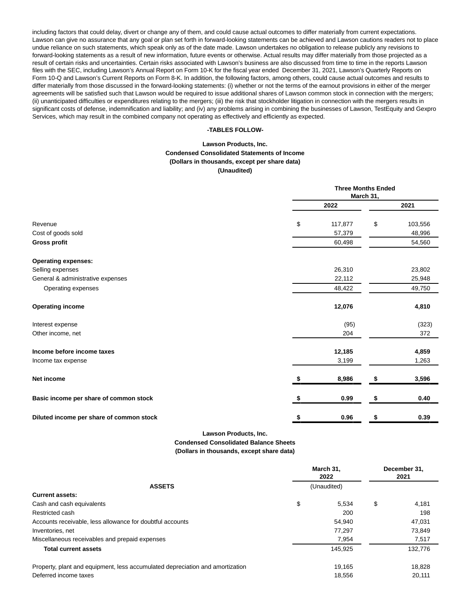including factors that could delay, divert or change any of them, and could cause actual outcomes to differ materially from current expectations. Lawson can give no assurance that any goal or plan set forth in forward-looking statements can be achieved and Lawson cautions readers not to place undue reliance on such statements, which speak only as of the date made. Lawson undertakes no obligation to release publicly any revisions to forward-looking statements as a result of new information, future events or otherwise. Actual results may differ materially from those projected as a result of certain risks and uncertainties. Certain risks associated with Lawson's business are also discussed from time to time in the reports Lawson files with the SEC, including Lawson's Annual Report on Form 10-K for the fiscal year ended December 31, 2021, Lawson's Quarterly Reports on Form 10-Q and Lawson's Current Reports on Form 8-K. In addition, the following factors, among others, could cause actual outcomes and results to differ materially from those discussed in the forward-looking statements: (i) whether or not the terms of the earnout provisions in either of the merger agreements will be satisfied such that Lawson would be required to issue additional shares of Lawson common stock in connection with the mergers; (ii) unanticipated difficulties or expenditures relating to the mergers; (iii) the risk that stockholder litigation in connection with the mergers results in significant costs of defense, indemnification and liability; and (iv) any problems arising in combining the businesses of Lawson, TestEquity and Gexpro Services, which may result in the combined company not operating as effectively and efficiently as expected.

## **-TABLES FOLLOW-**

## **Lawson Products, Inc. Condensed Consolidated Statements of Income (Dollars in thousands, except per share data) (Unaudited)**

|                                          |      | <b>Three Months Ended</b><br>March 31, |    |         |  |
|------------------------------------------|------|----------------------------------------|----|---------|--|
|                                          | 2022 |                                        |    | 2021    |  |
| Revenue                                  | \$   | 117,877                                | \$ | 103,556 |  |
| Cost of goods sold                       |      | 57,379                                 |    | 48,996  |  |
| <b>Gross profit</b>                      |      | 60,498                                 |    | 54,560  |  |
| <b>Operating expenses:</b>               |      |                                        |    |         |  |
| Selling expenses                         |      | 26,310                                 |    | 23,802  |  |
| General & administrative expenses        |      | 22,112                                 |    | 25,948  |  |
| Operating expenses                       |      | 48,422                                 |    | 49,750  |  |
| <b>Operating income</b>                  |      | 12,076                                 |    | 4,810   |  |
| Interest expense                         |      | (95)                                   |    | (323)   |  |
| Other income, net                        |      | 204                                    |    | 372     |  |
| Income before income taxes               |      | 12,185                                 |    | 4,859   |  |
| Income tax expense                       |      | 3,199                                  |    | 1,263   |  |
| <b>Net income</b>                        |      | 8,986                                  | \$ | 3,596   |  |
| Basic income per share of common stock   |      | 0.99                                   | \$ | 0.40    |  |
| Diluted income per share of common stock |      | 0.96                                   | \$ | 0.39    |  |

**Lawson Products, Inc.**

**Condensed Consolidated Balance Sheets (Dollars in thousands, except share data)**

|                                                                               | March 31,<br>2022<br>(Unaudited) |         |    | December 31,<br>2021 |  |  |
|-------------------------------------------------------------------------------|----------------------------------|---------|----|----------------------|--|--|
| <b>ASSETS</b>                                                                 |                                  |         |    |                      |  |  |
| <b>Current assets:</b>                                                        |                                  |         |    |                      |  |  |
| Cash and cash equivalents                                                     | \$                               | 5.534   | \$ | 4,181                |  |  |
| Restricted cash                                                               |                                  | 200     |    | 198                  |  |  |
| Accounts receivable, less allowance for doubtful accounts                     |                                  | 54,940  |    | 47,031               |  |  |
| Inventories, net                                                              |                                  | 77,297  |    | 73,849               |  |  |
| Miscellaneous receivables and prepaid expenses                                |                                  | 7,954   |    | 7,517                |  |  |
| <b>Total current assets</b>                                                   |                                  | 145,925 |    | 132,776              |  |  |
| Property, plant and equipment, less accumulated depreciation and amortization |                                  | 19.165  |    | 18,828               |  |  |
| Deferred income taxes                                                         |                                  | 18,556  |    | 20,111               |  |  |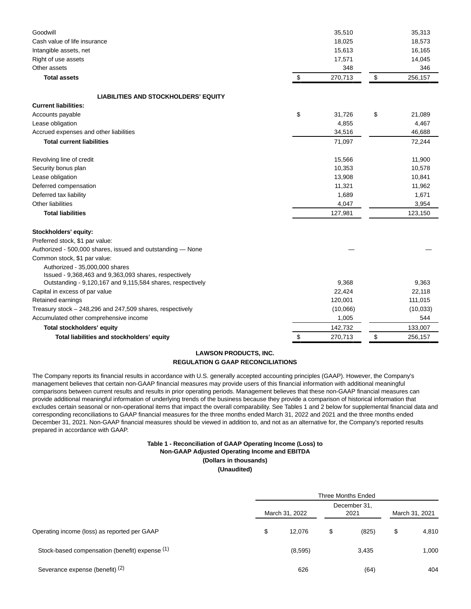| Goodwill<br>Cash value of life insurance<br>Intangible assets, net<br>Right of use assets<br>Other assets |                           | 35,510<br>18,025<br>15,613<br>17,571<br>348 |               | 35,313<br>18,573<br>16,165<br>14,045<br>346 |
|-----------------------------------------------------------------------------------------------------------|---------------------------|---------------------------------------------|---------------|---------------------------------------------|
| <b>Total assets</b>                                                                                       | $\boldsymbol{\mathsf{S}}$ | 270,713                                     | $\sqrt[6]{3}$ | 256,157                                     |
| <b>LIABILITIES AND STOCKHOLDERS' EQUITY</b>                                                               |                           |                                             |               |                                             |
| <b>Current liabilities:</b>                                                                               |                           |                                             |               |                                             |
| Accounts payable                                                                                          | \$                        | 31,726                                      | \$            | 21,089                                      |
| Lease obligation                                                                                          |                           | 4,855                                       |               | 4,467                                       |
| Accrued expenses and other liabilities                                                                    |                           | 34,516                                      |               | 46,688                                      |
| <b>Total current liabilities</b>                                                                          |                           | 71,097                                      |               | 72,244                                      |
| Revolving line of credit                                                                                  |                           | 15,566                                      |               | 11,900                                      |
| Security bonus plan                                                                                       |                           | 10,353                                      |               | 10,578                                      |
| Lease obligation                                                                                          |                           | 13,908                                      |               | 10,841                                      |
| Deferred compensation                                                                                     |                           | 11,321                                      |               | 11,962                                      |
| Deferred tax liability                                                                                    |                           | 1,689                                       |               | 1,671                                       |
| Other liabilities                                                                                         |                           | 4,047                                       |               | 3,954                                       |
| <b>Total liabilities</b>                                                                                  |                           | 127,981                                     |               | 123,150                                     |
| Stockholders' equity:                                                                                     |                           |                                             |               |                                             |
| Preferred stock, \$1 par value:                                                                           |                           |                                             |               |                                             |
| Authorized - 500,000 shares, issued and outstanding - None                                                |                           |                                             |               |                                             |
| Common stock, \$1 par value:                                                                              |                           |                                             |               |                                             |
| Authorized - 35,000,000 shares<br>Issued - 9,368,463 and 9,363,093 shares, respectively                   |                           |                                             |               |                                             |
| Outstanding - 9,120,167 and 9,115,584 shares, respectively                                                |                           | 9,368                                       |               | 9,363                                       |
| Capital in excess of par value                                                                            |                           | 22,424                                      |               | 22,118                                      |
| Retained earnings                                                                                         |                           | 120,001                                     |               | 111,015                                     |
| Treasury stock – 248,296 and 247,509 shares, respectively                                                 |                           | (10,066)                                    |               | (10, 033)                                   |
| Accumulated other comprehensive income                                                                    |                           | 1,005                                       |               | 544                                         |
| Total stockholders' equity                                                                                |                           | 142,732                                     |               | 133,007                                     |
| Total liabilities and stockholders' equity                                                                | \$                        | 270,713                                     | \$            | 256,157                                     |

## **LAWSON PRODUCTS, INC.**

#### **REGULATION G GAAP RECONCILIATIONS**

The Company reports its financial results in accordance with U.S. generally accepted accounting principles (GAAP). However, the Company's management believes that certain non-GAAP financial measures may provide users of this financial information with additional meaningful comparisons between current results and results in prior operating periods. Management believes that these non-GAAP financial measures can provide additional meaningful information of underlying trends of the business because they provide a comparison of historical information that excludes certain seasonal or non-operational items that impact the overall comparability. See Tables 1 and 2 below for supplemental financial data and corresponding reconciliations to GAAP financial measures for the three months ended March 31, 2022 and 2021 and the three months ended December 31, 2021. Non-GAAP financial measures should be viewed in addition to, and not as an alternative for, the Company's reported results prepared in accordance with GAAP.

## **Table 1 - Reconciliation of GAAP Operating Income (Loss) to Non-GAAP Adjusted Operating Income and EBITDA (Dollars in thousands)**

**(Unaudited)**

|                                                | <b>Three Months Ended</b> |                |    |                      |                |       |  |  |  |  |
|------------------------------------------------|---------------------------|----------------|----|----------------------|----------------|-------|--|--|--|--|
| Operating income (loss) as reported per GAAP   |                           | March 31, 2022 |    | December 31,<br>2021 | March 31, 2021 |       |  |  |  |  |
|                                                | \$                        | 12,076         | \$ | (825)                | \$             | 4,810 |  |  |  |  |
| Stock-based compensation (benefit) expense (1) |                           | (8,595)        |    | 3,435                |                | 1,000 |  |  |  |  |
| Severance expense (benefit) (2)                |                           | 626            |    | (64)                 |                | 404   |  |  |  |  |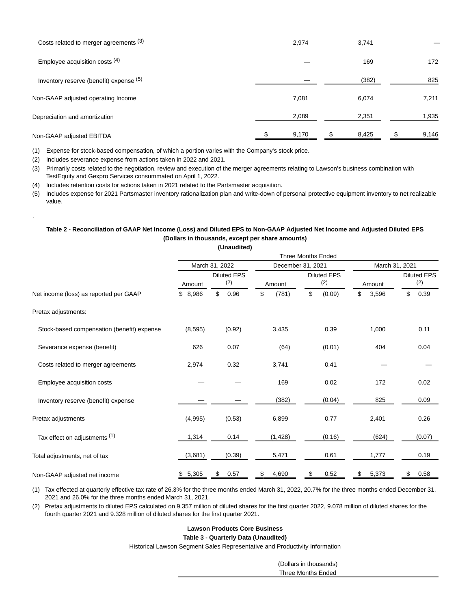| Costs related to merger agreements (3)  | 2,974 | 3,741 |       |
|-----------------------------------------|-------|-------|-------|
| Employee acquisition costs $(4)$        |       | 169   | 172   |
| Inventory reserve (benefit) expense (5) |       | (382) | 825   |
| Non-GAAP adjusted operating Income      | 7,081 | 6,074 | 7,211 |
| Depreciation and amortization           | 2,089 | 2,351 | 1,935 |
| Non-GAAP adjusted EBITDA                | 9,170 | 8,425 | 9,146 |

(1) Expense for stock-based compensation, of which a portion varies with the Company's stock price.

(2) Includes severance expense from actions taken in 2022 and 2021.

.

(3) Primarily costs related to the negotiation, review and execution of the merger agreements relating to Lawson's business combination with TestEquity and Gexpro Services consummated on April 1, 2022.

(4) Includes retention costs for actions taken in 2021 related to the Partsmaster acquisition.

(5) Includes expense for 2021 Partsmaster inventory rationalization plan and write-down of personal protective equipment inventory to net realizable value.

## **Table 2 - Reconciliation of GAAP Net Income (Loss) and Diluted EPS to Non-GAAP Adjusted Net Income and Adjusted Diluted EPS (Dollars in thousands, except per share amounts)**

**(Unaudited)**

|                                            | <b>Three Months Ended</b>           |                |             |                           |                |                           |  |  |  |  |
|--------------------------------------------|-------------------------------------|----------------|-------------|---------------------------|----------------|---------------------------|--|--|--|--|
|                                            |                                     | March 31, 2022 |             | December 31, 2021         | March 31, 2021 |                           |  |  |  |  |
|                                            | <b>Diluted EPS</b><br>(2)<br>Amount |                | Amount      | <b>Diluted EPS</b><br>(2) | Amount         | <b>Diluted EPS</b><br>(2) |  |  |  |  |
| Net income (loss) as reported per GAAP     | \$8,986                             | \$<br>0.96     | \$<br>(781) | \$<br>(0.09)              | \$<br>3,596    | \$<br>0.39                |  |  |  |  |
| Pretax adjustments:                        |                                     |                |             |                           |                |                           |  |  |  |  |
| Stock-based compensation (benefit) expense | (8, 595)                            | (0.92)         | 3,435       | 0.39                      | 1,000          | 0.11                      |  |  |  |  |
| Severance expense (benefit)                | 626                                 | 0.07           | (64)        | (0.01)                    | 404            | 0.04                      |  |  |  |  |
| Costs related to merger agreements         | 2,974                               | 0.32           | 3,741       | 0.41                      |                |                           |  |  |  |  |
| Employee acquisition costs                 |                                     |                | 169         | 0.02                      | 172            | 0.02                      |  |  |  |  |
| Inventory reserve (benefit) expense        |                                     |                | (382)       | (0.04)                    | 825            | 0.09                      |  |  |  |  |
| Pretax adjustments                         | (4,995)                             | (0.53)         | 6,899       | 0.77                      | 2,401          | 0.26                      |  |  |  |  |
| Tax effect on adjustments (1)              | 1,314                               | 0.14           | (1, 428)    | (0.16)                    | (624)          | (0.07)                    |  |  |  |  |
| Total adjustments, net of tax              | (3,681)                             | (0.39)         | 5,471       | 0.61                      | 1,777          | 0.19                      |  |  |  |  |
| Non-GAAP adjusted net income               | \$5,305                             | \$<br>0.57     | \$<br>4,690 | \$<br>0.52                | \$<br>5,373    | \$<br>0.58                |  |  |  |  |

(1) Tax effected at quarterly effective tax rate of 26.3% for the three months ended March 31, 2022, 20.7% for the three months ended December 31, 2021 and 26.0% for the three months ended March 31, 2021.

(2) Pretax adjustments to diluted EPS calculated on 9.357 million of diluted shares for the first quarter 2022, 9.078 million of diluted shares for the fourth quarter 2021 and 9.328 million of diluted shares for the first quarter 2021.

### **Lawson Products Core Business**

**Table 3 - Quarterly Data (Unaudited)**

Historical Lawson Segment Sales Representative and Productivity Information

(Dollars in thousands) Three Months Ended